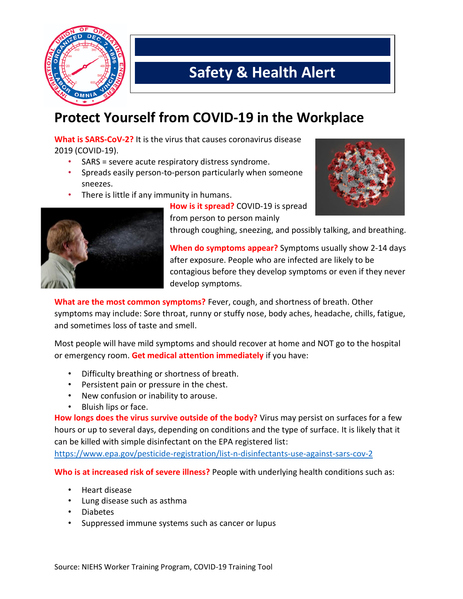

## **Safety & Health Alert**

## **Protect Yourself from COVID-19 in the Workplace**

**What is SARS-CoV-2?** It is the virus that causes coronavirus disease 2019 (COVID-19).

- SARS = severe acute respiratory distress syndrome.
- Spreads easily person-to-person particularly when someone sneezes.
- There is little if any immunity in humans.



**How is it spread?** COVID-19 is spread from person to person mainly



through coughing, sneezing, and possibly talking, and breathing.

**When do symptoms appear?** Symptoms usually show 2-14 days after exposure. People who are infected are likely to be contagious before they develop symptoms or even if they never develop symptoms.

**What are the most common symptoms?** Fever, cough, and shortness of breath. Other symptoms may include: Sore throat, runny or stuffy nose, body aches, headache, chills, fatigue, and sometimes loss of taste and smell.

Most people will have mild symptoms and should recover at home and NOT go to the hospital or emergency room. **Get medical attention immediately** if you have:

- Difficulty breathing or shortness of breath.
- Persistent pain or pressure in the chest.
- New confusion or inability to arouse.
- Bluish lips or face.

**How longs does the virus survive outside of the body?** Virus may persist on surfaces for a few hours or up to several days, depending on conditions and the type of surface. It is likely that it can be killed with simple disinfectant on the EPA registered list:

<https://www.epa.gov/pesticide-registration/list-n-disinfectants-use-against-sars-cov-2>

**Who is at increased risk of severe illness?** People with underlying health conditions such as:

- Heart disease
- Lung disease such as asthma
- Diabetes
- Suppressed immune systems such as cancer or lupus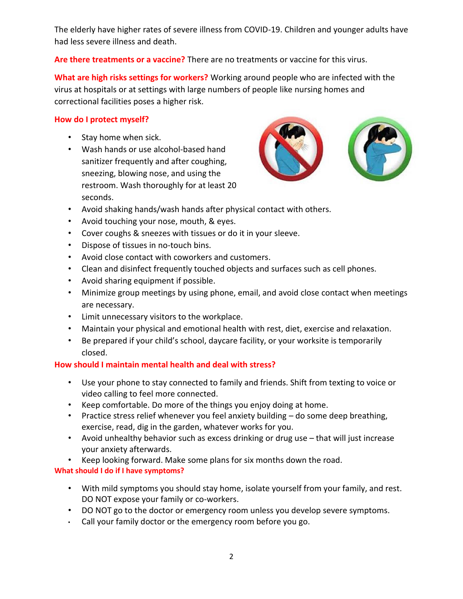The elderly have higher rates of severe illness from COVID-19. Children and younger adults have had less severe illness and death.

#### **Are there treatments or a vaccine?** There are no treatments or vaccine for this virus.

**What are high risks settings for workers?** Working around people who are infected with the virus at hospitals or at settings with large numbers of people like nursing homes and correctional facilities poses a higher risk.

#### **How do I protect myself?**

- Stay home when sick.
- Wash hands or use alcohol-based hand sanitizer frequently and after coughing, sneezing, blowing nose, and using the restroom. Wash thoroughly for at least 20 seconds.



- Avoid shaking hands/wash hands after physical contact with others.
- Avoid touching your nose, mouth, & eyes.
- Cover coughs & sneezes with tissues or do it in your sleeve.
- Dispose of tissues in no-touch bins.
- Avoid close contact with coworkers and customers.
- Clean and disinfect frequently touched objects and surfaces such as cell phones.
- Avoid sharing equipment if possible.
- Minimize group meetings by using phone, email, and avoid close contact when meetings are necessary.
- Limit unnecessary visitors to the workplace.
- Maintain your physical and emotional health with rest, diet, exercise and relaxation.
- Be prepared if your child's school, daycare facility, or your worksite is temporarily closed.

#### **How should I maintain mental health and deal with stress?**

- Use your phone to stay connected to family and friends. Shift from texting to voice or video calling to feel more connected.
- Keep comfortable. Do more of the things you enjoy doing at home.
- Practice stress relief whenever you feel anxiety building do some deep breathing, exercise, read, dig in the garden, whatever works for you.
- Avoid unhealthy behavior such as excess drinking or drug use that will just increase your anxiety afterwards.
- Keep looking forward. Make some plans for six months down the road.

#### **What should I do if I have symptoms?**

- With mild symptoms you should stay home, isolate yourself from your family, and rest. DO NOT expose your family or co-workers.
- DO NOT go to the doctor or emergency room unless you develop severe symptoms.
- Call your family doctor or the emergency room before you go.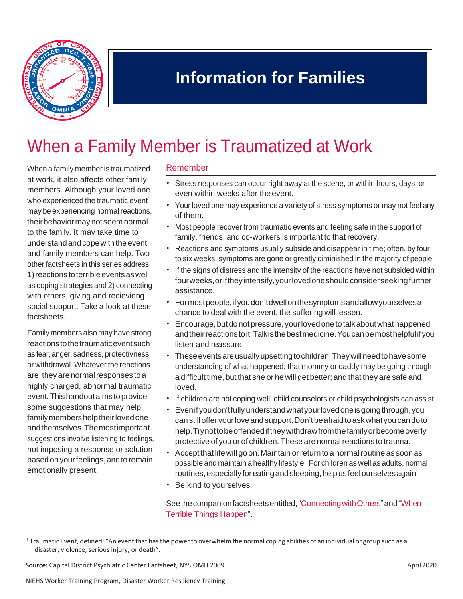

## **Information for Families**

# When a Family Member is Traumatized at Work

When a family member is traumatized at work, it also affects other family members. Although your loved one who experienced the traumatic event<sup>1</sup> may be experiencing normal reactions, their behavior may not seem normal to the family. It may take time to understandandcopewiththeevent and family members can help. Two other factsheets in this series address 1) reactions to terrible events as well as coping strategies and 2) connecting with others, giving and recievieng social support. Take a look at these factsheets.

Family members also may have strong reactions to the traumatic event such as fear,anger, sadness, protectivness, or withdrawal. Whatever the reactions are, they are normal responses to a highly charged, abnormal traumatic event.Thishandoutaims toprovide some suggestions that may help family members help their loved one andthemselves.Themostimportant suggestions involve listening to feelings, not imposing a response or solution basedonyourfeelings,andtoremain emotionally present.

#### Remember

- Stress responses can occur right away at the scene, or within hours, days, or even within weeks after theevent.
- Yourloved one may experience a variety of stress symptoms or may not feel any of them.
- Most people recover from traumatic events and feeling safe in the support of family, friends, and co-workers is important to that recovery.
- Reactions and symptoms usually subside and disappear in time; often, by four to six weeks, symptoms are gone or greatly diminished in the majority of people.
- If the signs of distress and the intensity of the reactions have not subsided within fourweeks,oriftheyintensify,yourlovedoneshouldconsiderseekingfurther assistance.
- Formostpeople,ifyoudon'tdwellonthesymptomsandallowyourselvesa chance to deal with the event, the suffering will lessen.
- Encourage, but do not pressure, your loved one to talk about what happened andtheirreactionstoit.Talkisthebestmedicine.Youcanbemosthelpfulifyou listen and reassure.
- These events are usually upsetting to children. They will need to have some understanding of what happened; that mommy or daddy may be going through a difficult time, but that she or he will get better; and that they are safe and loved.
- If children are not coping well, child counselors or child psychologists can assist.
- Evenifyoudon'tfullyunderstandwhatyourlovedoneisgoingthrough,you canstillofferyourloveandsupport.Don'tbeafraidtoaskwhatyoucandoto help.Trynottobeoffendediftheywithdrawfromthefamilyorbecomeoverly protective of you or of children. These are normal reactions to trauma.
- Accept that life will go on. Maintain or return to a normal routine as soon as possible and maintain a healthy lifestyle. For children as well as adults, normal routines, especially for eating and sleeping, help us feel ourselves again.
- Be kind to yourselves.

See the companion factsheets entitled, "Connecting with Others" and "When Terrible Things Happen".

**Source:** Capital District Psychiatric Center Factsheet, NYS OMH 2009 April 2020

<sup>&</sup>lt;sup>1</sup> Traumatic Event, defined: "An event that has the power to overwhelm the normal coping abilities of an individual or group such as a disaster, violence, serious injury, or death".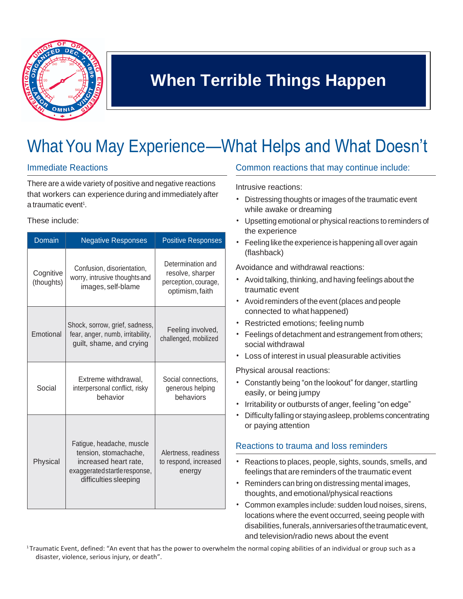

# **When Terrible Things Happen**

# What You May Experience—What Helps and What Doesn't

#### Immediate Reactions

There are a wide variety of positive and negative reactions that workers can experience during and immediately after a traumatic event<sup>1</sup>.

These include:

| Domain                  | <b>Negative Responses</b>                                                                                                             | <b>Positive Responses</b>                                                        |
|-------------------------|---------------------------------------------------------------------------------------------------------------------------------------|----------------------------------------------------------------------------------|
| Cognitive<br>(thoughts) | Confusion, disorientation,<br>worry, intrusive thoughts and<br>images, self-blame                                                     | Determination and<br>resolve, sharper<br>perception, courage,<br>optimism, faith |
| Emotional               | Shock, sorrow, grief, sadness,<br>fear, anger, numb, irritability,<br>guilt, shame, and crying                                        | Feeling involved,<br>challenged, mobilized                                       |
| Social                  | Extreme withdrawal,<br>interpersonal conflict, risky<br>behavior                                                                      | Social connections,<br>generous helping<br>behaviors                             |
| Physical                | Fatigue, headache, muscle<br>tension, stomachache,<br>increased heart rate,<br>exaggerated startle response,<br>difficulties sleeping | Alertness, readiness<br>to respond, increased<br>energy                          |

#### Common reactions that may continue include:

Intrusive reactions:

- Distressing thoughts or images of the traumatic event while awake or dreaming
- Upsetting emotional or physical reactions to reminders of the experience
- Feeling like the experience is happening all over again (flashback)

Avoidance and withdrawal reactions:

- Avoid talking, thinking, and having feelings about the traumatic event
- Avoid reminders of the event (places and people connected to what happened)
- Restricted emotions; feeling numb
- Feelings of detachment and estrangement from others; social withdrawal
- Loss of interest in usual pleasurable activities

Physical arousal reactions:

- Constantly being "on the lookout" for danger, startling easily, or being jumpy
- Irritability or outbursts of anger, feeling "on edge"
- Difficulty falling or stayingasleep, problems concentrating or paying attention

#### Reactions to trauma and loss reminders

- Reactions to places, people, sights, sounds, smells, and feelings that are reminders of the traumatic event
- Reminders can bring on distressing mental images, thoughts, and emotional/physical reactions
- Common examples include: sudden loud noises, sirens, locations where the event occurred, seeing people with disabilities,funerals,anniversariesofthetraumaticevent, and television/radio news about the event

<sup>1</sup>Traumatic Event, defined: "An event that has the power to overwhelm the normal coping abilities of an individual or group such as a disaster, violence, serious injury, or death".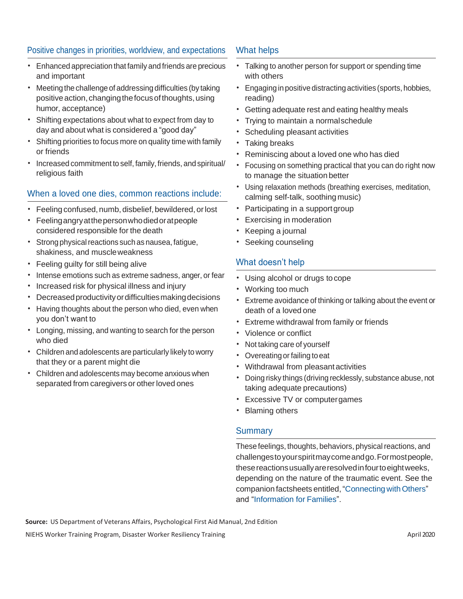#### Positive changes in priorities, worldview, and expectations

- Enhanced appreciation that family and friends are precious and important
- Meeting the challenge of addressing difficulties (by taking positive action, changing the focus of thoughts, using humor, acceptance)
- Shifting expectations about what to expect from day to day and about what is considered a "good day"
- Shifting priorities to focus more on quality time with family or friends
- Increased commitment to self, family, friends, and spiritual/ religious faith

#### When a loved one dies, common reactions include:

- Feeling confused, numb, disbelief, bewildered, or lost
- Feelingangryatthepersonwhodiedoratpeople considered responsible for the death
- Strong physical reactions such as nausea, fatigue, shakiness, and muscleweakness
- Feeling guilty for still being alive
- Intense emotions such as extreme sadness, anger, or fear
- Increased risk for physical illness and injury
- Decreasedproductivityordifficultiesmakingdecisions
- Having thoughts about the person who died, even when you don't want to
- Longing, missing, and wanting to search for the person who died
- Children and adolescents are particularly likely to worry that they or a parent might die
- Children and adolescents may become anxious when separated from caregivers or other loved ones

#### What helps

- Talking to another person for support or spending time with others
- Engaging in positive distracting activities (sports, hobbies, reading)
- Getting adequate rest and eating healthy meals
- Trying to maintain a normalschedule
- Scheduling pleasant activities
- Taking breaks
- Reminiscing about a loved one who has died
- Focusing on something practical that you can do right now to manage the situation better
- Using relaxation methods (breathing exercises, meditation, calming self-talk, soothing music)
- Participating in a support group
- Exercising in moderation
- Keeping a journal
- Seeking counseling

#### What doesn't help

- Using alcohol or drugs tocope
- Working too much
- Extreme avoidance of thinking or talking about the event or death of a loved one
- Extreme withdrawal from family or friends
- Violence or conflict
- Not taking care of yourself
- Overeating or failing to eat
- Withdrawal from pleasant activities
- Doing risky things (driving recklessly, substance abuse, not taking adequate precautions)
- Excessive TV or computergames
- Blaming others

#### **Summary**

These feelings, thoughts, behaviors, physical reactions, and challengestoyourspiritmaycomeandgo.Formostpeople, thesereactionsusuallyareresolvedinfourtoeightweeks, depending on the nature of the traumatic event. See the companion factsheets entitled, "Connecting with Others" and "Information for Families".

**Source:** US Department of Veterans Affairs, Psychological First Aid Manual, 2nd Edition

NIEHS Worker Training Program, Disaster Worker Resiliency Training April 2020 and April 2020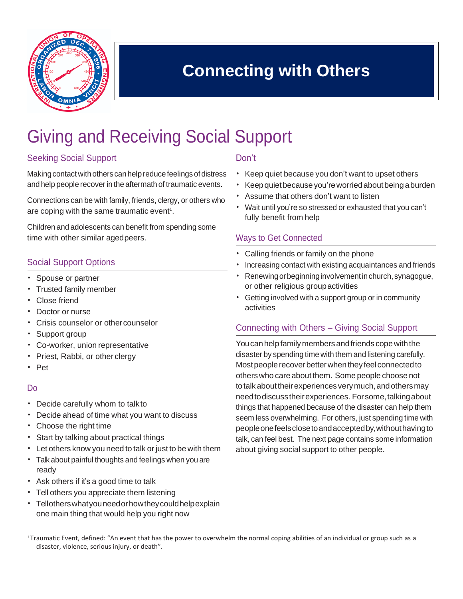

## **Connecting with Others**

# Giving and Receiving Social Support

#### Seeking Social Support

Making contact with others can help reduce feelings of distress and help people recover in the aftermath of traumatic events.

Connections can be with family, friends, clergy, or others who are coping with the same traumatic event<sup>1</sup>.

Children and adolescents can benefit from spending some time with other similar agedpeers.

#### Social Support Options

- Spouse or partner
- Trusted family member
- Close friend
- Doctor or nurse
- Crisis counselor or othercounselor
- Support group
- Co-worker, union representative
- Priest, Rabbi, or other clergy
- Pet

#### Do

- Decide carefully whom to talkto
- Decide ahead of time what you want to discuss
- Choose the right time
- Start by talking about practical things
- Let others know you need to talk or just to be with them
- Talk about painful thoughts and feelings when you are ready
- Ask others if it's a good time to talk
- Tell others you appreciate them listening
- Tellotherswhatyouneedorhowtheycouldhelpexplain one main thing that would help you right now

#### Don't

- Keep quiet because you don't want to upset others
- Keep quiet because you're worried about being a burden
- Assume that others don't want to listen
- Wait until you're so stressed or exhausted that you can't fully benefit from help

#### Ways to Get Connected

- Calling friends or family on the phone
- Increasing contact with existing acquaintances and friends
- Renewing or beginning involvement in church, synagogue, or other religious groupactivities
- Getting involved with a support group or in community activities

#### Connecting with Others – Giving Social Support

You can help family members and friends cope with the disaster by spending time with them and listening carefully. Most people recover better when they feel connected to otherswho care about them. Some people choose not to talk about their experiences very much, and others may needtodiscusstheirexperiences. Forsome,talkingabout things that happened because of the disaster can help them seem less overwhelming. For others, just spending time with peopleonefeelsclosetoandacceptedby,withouthavingto talk, can feel best. The next page contains some information about giving social support to other people.

<sup>1</sup>Traumatic Event, defined: "An event that has the power to overwhelm the normal coping abilities of an individual or group such as a disaster, violence, serious injury, or death".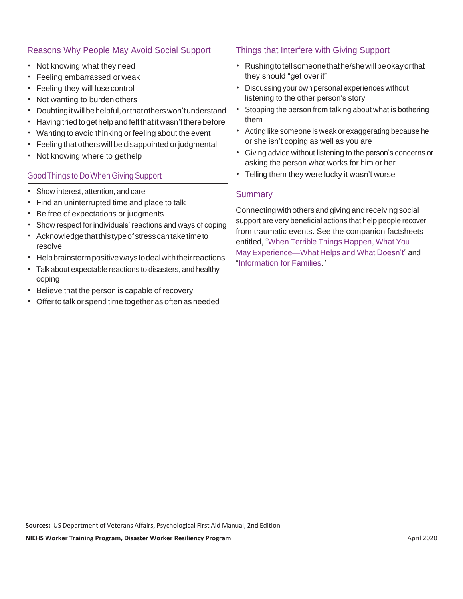#### Reasons Why People May Avoid Social Support

- Not knowing what they need
- Feeling embarrassed or weak
- Feeling they will lose control
- Not wanting to burden others
- Doubtingitwillbehelpful,orthatotherswon'tunderstand
- Havingtriedtogethelpandfeltthatitwasn'ttherebefore
- Wanting to avoid thinking or feeling about the event
- Feeling that others will be disappointed or judgmental
- Not knowing where to gethelp

#### Good Things to DoWhen Giving Support

- Show interest, attention, and care
- Find an uninterrupted time and place to talk
- Be free of expectations or judgments
- Show respect for individuals' reactions and ways of coping
- Acknowledgethatthistypeofstresscantaketimeto resolve
- Help brainstorm positive ways to deal with their reactions
- Talkabout expectable reactions to disasters, and healthy coping
- Believe that the person is capable of recovery
- Offer to talk or spend time together as often as needed

#### Things that Interfere with Giving Support

- Rushingtotellsomeonethathe/shewillbeokayorthat they should "get overit"
- Discussing your own personal experiences without listening to the other person's story
- Stopping the person from talking about what is bothering them
- Acting like someone is weak or exaggerating because he or she isn't coping as well as you are
- Giving advice without listening to the person's concerns or asking the person what works for him or her
- Telling them they were lucky it wasn't worse

#### **Summary**

Connecting with others and giving and receiving social support are very beneficial actions that help people recover from traumatic events. See the companion factsheets entitled, "When Terrible Things Happen, What You May Experience—What Helps and What Doesn't" and "Information for Families."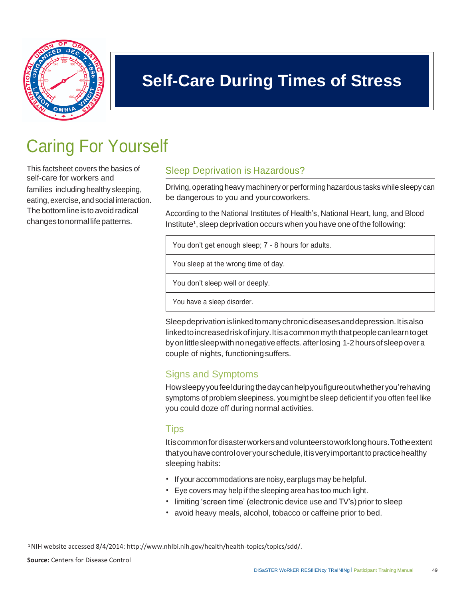

## **Self-Care During Times of Stress**

# Caring For Yourself

self-care for workers and families including healthy sleeping, eating, exercise, andsocial interaction. changes to normal life patterns.

### This factsheet covers the basics of Sleep Deprivation is Hazardous?

Driving, operating heavy machinery or performing hazardous taskswhilesleepy can be dangerous to you and yourcoworkers.

The bottom line is to avoid radical According to the National Institutes of Health's, National Heart, lung, and Blood Institute<sup>1</sup>, sleep deprivation occurs when you have one of the following:

| You don't get enough sleep; 7 - 8 hours for adults. |
|-----------------------------------------------------|
| You sleep at the wrong time of day.                 |
| You don't sleep well or deeply.                     |
|                                                     |

You have a sleep disorder.

Sleep deprivation is linked to many chronic diseases and depression. It is also linkedtoincreasedriskofinjury.Itisacommonmyththatpeoplecanlearntoget byonlittlesleepwithnonegativeeffects.afterlosing 1-2hoursofsleepovera couple of nights, functioningsuffers.

### Signs and Symptoms

Howsleepyyoufeelduringthedaycanhelpyoufigureoutwhetheryou'rehaving symptoms of problem sleepiness. you might be sleep deficient if you often feel like you could doze off during normal activities.

### Tips

Itiscommonfordisasterworkersandvolunteerstoworklonghours.Totheextent that you have control over your schedule, it is very important to practice healthy sleeping habits:

- If your accommodations are noisy, earplugs may be helpful.
- Eye covers may help if the sleeping area has too much light.
- limiting 'screen time' (electronic device use and TV's) prior to sleep
- avoid heavy meals, alcohol, tobacco or caffeine prior to bed.

<sup>1</sup>NIH website accessed 8/4/2014: [http://www.nhlbi.nih.gov/health/health-topics/topics/sdd/.](http://www.nhlbi.nih.gov/health/health-topics/topics/sdd)